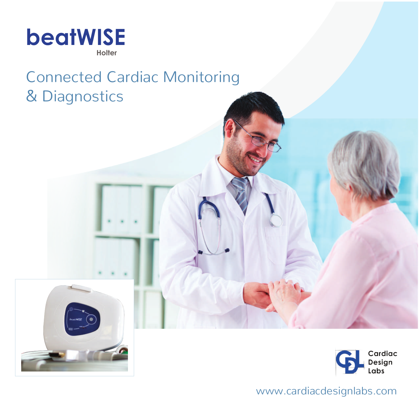

# Connected Cardiac Monitoring & Diagnostics



www.cardiacdesignlabs.com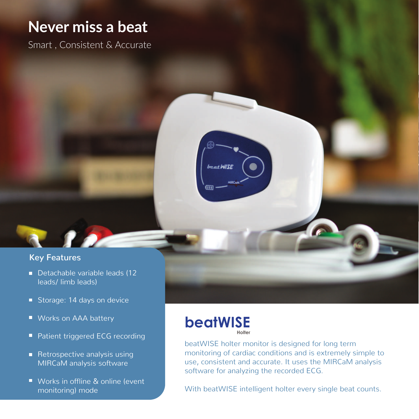# **Never miss a beat**

Smart , Consistent & Accurate

### **Key Features**

- Detachable variable leads (12 leads/ limb leads)
- Storage: 14 days on device
- Works on AAA battery
- **Patient triggered ECG recording**
- Retrospective analysis using MIRCaM analysis software
- Works in offline & online (event monitoring) mode

## **beatWISE Holter**

beat WISE

beatWISE holter monitor is designed for long term monitoring of cardiac conditions and is extremely simple to use, consistent and accurate. It uses the MIRCaM analysis software for analyzing the recorded ECG.

With beatWISE intelligent holter every single beat counts.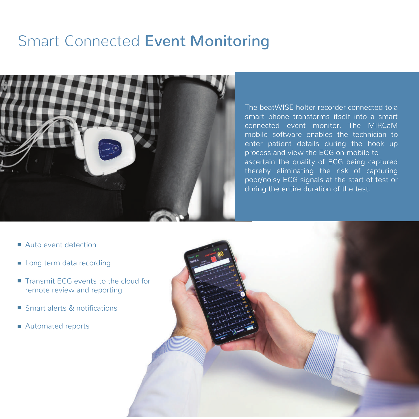# Smart Connected **Event Monitoring**



The beatWISE holter recorder connected to a smart phone transforms itself into a smart connected event monitor. The MIRCaM mobile software enables the technician to enter patient details during the hook up process and view the ECG on mobile to ascertain the quality of ECG being captured thereby eliminating the risk of capturing poor/noisy ECG signals at the start of test or during the entire duration of the test.

- Auto event detection
- **Long term data recording**
- Transmit ECG events to the cloud for remote review and reporting
- Smart alerts & notifications
- Automated reports

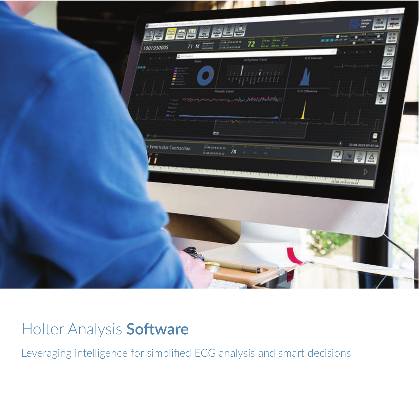

# Holter Analysis Software

Leveraging intelligence for simplified ECG analysis and smart decisions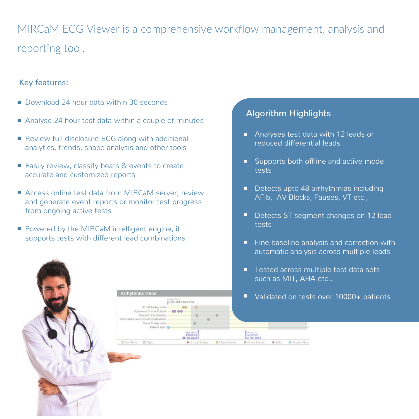# MIRCaM ECG Viewer is a comprehensive workflow management, analysis and reporting tool.

#### Key features:

- Download 24 hour data within 30 seconds
- Analyse 24 hour test data within a couple of minutes
- Review full disclosure ECG along with additional analytics, trends, shape analysis and other tools
- Easily review, classify beats & events to create accurate and customized reports
- Access online test data from MIRCaM server, review and generate event reports or monitor test progress from ongoing active tests

**Arrhythmia Trend** 

Oay Time

Atrial Tachycardia upraventricular Ectopic Marrant Conducti abeloidae Combraction inus Rradycardia Patient Alert

E Naht

Hookup Start<br>26-08-2019 10:47:41

Powered by the MIRCaM intelligent engine, it supports tests with different lead combinations

# **Algorithm Highlights**

- Analyses test data with 12 leads or reduced differential leads
- Supports both offline and active mode tests
- Detects upto 48 arrhythmias including AFib, AV Blocks, Pauses, VT etc.,
- Detects ST segment changes on 12 lead о tests
- $\blacksquare$  Fine baseline analysis and correction with automatic analysis across multiple leads
- Tested across multiple test data sets such as MIT, AHA etc.,

SVEC.

**O** Patient Alert

**O** Major Events

■ Validated on tests over 10000+ patients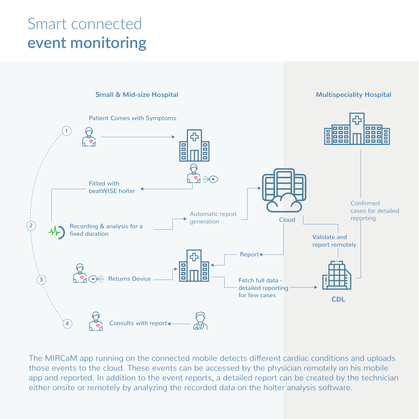# Smart connected **event monitoring**



The MIRCaM app running on the connected mobile detects different cardiac conditions and uploads those events to the cloud. These events can be accessed by the physician remotely on his mobile app and reported. In addition to the event reports, a detailed report can be created by the technician either onsite or remotely by analyzing the recorded data on the holter analysis software.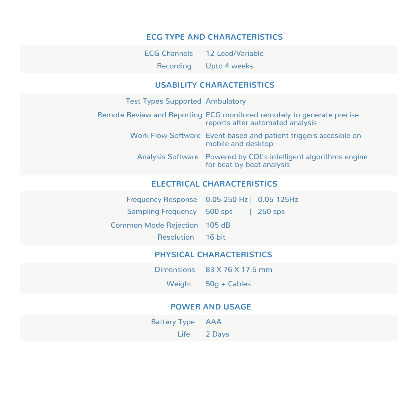### **ECG TYPE AND CHARACTERISTICS**

ECG Channels 12-Lead/Variable Recording Upto 4 weeks

### **USABILITY CHARACTERISTICS**

| <b>Test Types Supported Ambulatory</b> |                                                                                                            |
|----------------------------------------|------------------------------------------------------------------------------------------------------------|
|                                        | Remote Review and Reporting ECG monitored remotely to generate precise<br>reports after automated analysis |
|                                        | Work Flow Software Event based and patient triggers accesible on<br>mobile and desktop                     |
|                                        | Analysis Software Powered by CDL's intelligent algorithms engine<br>for beat-by-beat analysis              |

### **ELECTRICAL CHARACTERISTICS**

| Frequency Response 0.05-250 Hz   0.05-125Hz |  |
|---------------------------------------------|--|
| Sampling Frequency 500 sps   250 sps        |  |
| <b>Common Mode Rejection 105 dB</b>         |  |
| <b>Resolution</b> 16 bit                    |  |

## **PHYSICAL CHARACTERISTICS**

|        | Dimensions 83 X 76 X 17.5 mm |
|--------|------------------------------|
| Weight | $50q + Cables$               |

### **POWER AND USAGE**

| <b>Battery Type AAA</b> |             |
|-------------------------|-------------|
|                         | Life 2 Days |